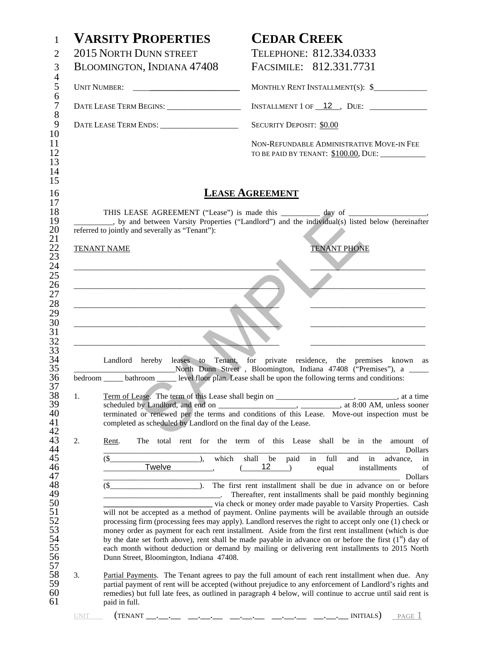|          | <b>VARSITY PROPERTIES</b>                                         | <b>CEDAR CREEK</b>                                                                                                                                                                                                                                                                                                                                                                                                                                                                                                                                                                                                                                                                                                                                                                                                                                                                                                                                                                                                                                                                       |
|----------|-------------------------------------------------------------------|------------------------------------------------------------------------------------------------------------------------------------------------------------------------------------------------------------------------------------------------------------------------------------------------------------------------------------------------------------------------------------------------------------------------------------------------------------------------------------------------------------------------------------------------------------------------------------------------------------------------------------------------------------------------------------------------------------------------------------------------------------------------------------------------------------------------------------------------------------------------------------------------------------------------------------------------------------------------------------------------------------------------------------------------------------------------------------------|
|          | 2015 NORTH DUNN STREET                                            | TELEPHONE: 812.334.0333                                                                                                                                                                                                                                                                                                                                                                                                                                                                                                                                                                                                                                                                                                                                                                                                                                                                                                                                                                                                                                                                  |
|          | BLOOMINGTON, INDIANA 47408                                        | FACSIMILE: 812.331.7731                                                                                                                                                                                                                                                                                                                                                                                                                                                                                                                                                                                                                                                                                                                                                                                                                                                                                                                                                                                                                                                                  |
|          |                                                                   | MONTHLY RENT INSTALLMENT(S): \$                                                                                                                                                                                                                                                                                                                                                                                                                                                                                                                                                                                                                                                                                                                                                                                                                                                                                                                                                                                                                                                          |
|          |                                                                   | INSTALLMENT 1 OF $\_12$ , DUE: $\_$                                                                                                                                                                                                                                                                                                                                                                                                                                                                                                                                                                                                                                                                                                                                                                                                                                                                                                                                                                                                                                                      |
|          |                                                                   | <b>SECURITY DEPOSIT: \$0.00</b>                                                                                                                                                                                                                                                                                                                                                                                                                                                                                                                                                                                                                                                                                                                                                                                                                                                                                                                                                                                                                                                          |
|          |                                                                   | NON-REFUNDABLE ADMINISTRATIVE MOVE-IN FEE<br>TO BE PAID BY TENANT: \$100.00, DUE: __________                                                                                                                                                                                                                                                                                                                                                                                                                                                                                                                                                                                                                                                                                                                                                                                                                                                                                                                                                                                             |
|          |                                                                   | <b>LEASE AGREEMENT</b>                                                                                                                                                                                                                                                                                                                                                                                                                                                                                                                                                                                                                                                                                                                                                                                                                                                                                                                                                                                                                                                                   |
|          | referred to jointly and severally as "Tenant"):                   | THIS LEASE AGREEMENT ("Lease") is made this __________ day of ___________________<br>__, by and between Varsity Properties ("Landlord") and the individual(s) listed below (hereinafter                                                                                                                                                                                                                                                                                                                                                                                                                                                                                                                                                                                                                                                                                                                                                                                                                                                                                                  |
|          | <b>TENANT NAME</b>                                                | <b>TENANT PHONE</b>                                                                                                                                                                                                                                                                                                                                                                                                                                                                                                                                                                                                                                                                                                                                                                                                                                                                                                                                                                                                                                                                      |
|          |                                                                   |                                                                                                                                                                                                                                                                                                                                                                                                                                                                                                                                                                                                                                                                                                                                                                                                                                                                                                                                                                                                                                                                                          |
|          |                                                                   |                                                                                                                                                                                                                                                                                                                                                                                                                                                                                                                                                                                                                                                                                                                                                                                                                                                                                                                                                                                                                                                                                          |
|          |                                                                   |                                                                                                                                                                                                                                                                                                                                                                                                                                                                                                                                                                                                                                                                                                                                                                                                                                                                                                                                                                                                                                                                                          |
|          |                                                                   |                                                                                                                                                                                                                                                                                                                                                                                                                                                                                                                                                                                                                                                                                                                                                                                                                                                                                                                                                                                                                                                                                          |
|          | <u> 1980 - Johann John Stone, mars eta biztanleria (</u>          |                                                                                                                                                                                                                                                                                                                                                                                                                                                                                                                                                                                                                                                                                                                                                                                                                                                                                                                                                                                                                                                                                          |
|          | <u> 1989 - Johann Barn, mars an t-Amerikaansk politiker (</u>     |                                                                                                                                                                                                                                                                                                                                                                                                                                                                                                                                                                                                                                                                                                                                                                                                                                                                                                                                                                                                                                                                                          |
|          |                                                                   | Landlord hereby leases to Tenant, for private residence, the premises known as                                                                                                                                                                                                                                                                                                                                                                                                                                                                                                                                                                                                                                                                                                                                                                                                                                                                                                                                                                                                           |
|          |                                                                   | North Dunn Street, Bloomington, Indiana 47408 ("Premises"), a<br>bedroom _______ bathroom _________ level floor plan. Lease shall be upon the following terms and conditions:                                                                                                                                                                                                                                                                                                                                                                                                                                                                                                                                                                                                                                                                                                                                                                                                                                                                                                            |
|          |                                                                   |                                                                                                                                                                                                                                                                                                                                                                                                                                                                                                                                                                                                                                                                                                                                                                                                                                                                                                                                                                                                                                                                                          |
| 1.       |                                                                   |                                                                                                                                                                                                                                                                                                                                                                                                                                                                                                                                                                                                                                                                                                                                                                                                                                                                                                                                                                                                                                                                                          |
|          |                                                                   |                                                                                                                                                                                                                                                                                                                                                                                                                                                                                                                                                                                                                                                                                                                                                                                                                                                                                                                                                                                                                                                                                          |
|          | completed as scheduled by Landlord on the final day of the Lease. |                                                                                                                                                                                                                                                                                                                                                                                                                                                                                                                                                                                                                                                                                                                                                                                                                                                                                                                                                                                                                                                                                          |
|          | Rent.                                                             | terminated or renewed per the terms and conditions of this Lease. Move-out inspection must be<br>The total rent for the term of this Lease shall be in the<br>amount of                                                                                                                                                                                                                                                                                                                                                                                                                                                                                                                                                                                                                                                                                                                                                                                                                                                                                                                  |
|          | $$_$<br>which<br><sup>1</sup><br>Twelve                           | Dollars<br>shall be<br>paid<br>full<br>in<br>in<br>advance,<br>and<br>in<br>12 <sub>2</sub><br>$\rightarrow$<br>installments<br>of<br>equal                                                                                                                                                                                                                                                                                                                                                                                                                                                                                                                                                                                                                                                                                                                                                                                                                                                                                                                                              |
|          |                                                                   |                                                                                                                                                                                                                                                                                                                                                                                                                                                                                                                                                                                                                                                                                                                                                                                                                                                                                                                                                                                                                                                                                          |
|          | $\lambda$ .<br>$(S_$                                              |                                                                                                                                                                                                                                                                                                                                                                                                                                                                                                                                                                                                                                                                                                                                                                                                                                                                                                                                                                                                                                                                                          |
|          |                                                                   |                                                                                                                                                                                                                                                                                                                                                                                                                                                                                                                                                                                                                                                                                                                                                                                                                                                                                                                                                                                                                                                                                          |
|          |                                                                   |                                                                                                                                                                                                                                                                                                                                                                                                                                                                                                                                                                                                                                                                                                                                                                                                                                                                                                                                                                                                                                                                                          |
|          |                                                                   |                                                                                                                                                                                                                                                                                                                                                                                                                                                                                                                                                                                                                                                                                                                                                                                                                                                                                                                                                                                                                                                                                          |
|          | Dunn Street, Bloomington, Indiana 47408.                          |                                                                                                                                                                                                                                                                                                                                                                                                                                                                                                                                                                                                                                                                                                                                                                                                                                                                                                                                                                                                                                                                                          |
| 2.<br>3. | paid in full.                                                     | Dollars<br>The first rent installment shall be due in advance on or before<br>Thereafter, rent installments shall be paid monthly beginning<br>via check or money order made payable to Varsity Properties. Cash<br>will not be accepted as a method of payment. Online payments will be available through an outside<br>processing firm (processing fees may apply). Landlord reserves the right to accept only one (1) check or<br>money order as payment for each rent installment. Aside from the first rent installment (which is due<br>by the date set forth above), rent shall be made payable in advance on or before the first $(1st)$ day of<br>each month without deduction or demand by mailing or delivering rent installments to 2015 North<br>Partial Payments. The Tenant agrees to pay the full amount of each rent installment when due. Any<br>partial payment of rent will be accepted (without prejudice to any enforcement of Landlord's rights and<br>remedies) but full late fees, as outlined in paragraph 4 below, will continue to accrue until said rent is |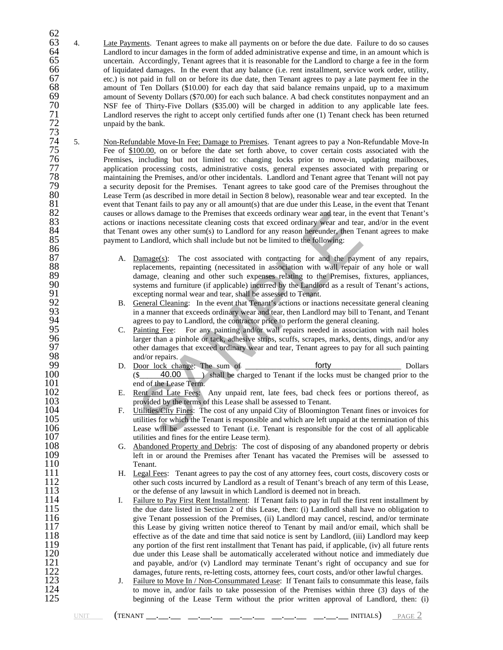- 62 63 4. Late Payments. Tenant agrees to make all payments on or before the due date. Failure to do so causes 64 Landlord to incur damages in the form of added administrative expense and time, in an amount which is 64 Landlord to incur damages in the form of added administrative expense and time, in an amount which is<br>65 the uncertain. Accordingly, Tenant agrees that it is reasonable for the Landlord to charge a fee in the form 65 uncertain. Accordingly, Tenant agrees that it is reasonable for the Landlord to charge a fee in the form<br>66 of liquidated damages. In the event that any balance (i.e. rent installment, service work order, utility, 66 of liquidated damages. In the event that any balance (i.e. rent installment, service work order, utility, etc.) is not paid in full on or before its due date, then Tenant agrees to pay a late payment fee in the 67 etc.) is not paid in full on or before its due date, then Tenant agrees to pay a late payment fee in the amount of Ten Dollars (\$10.00) for each day that said balance remains unpaid, up to a maximum 68 amount of Ten Dollars (\$10.00) for each day that said balance remains unpaid, up to a maximum amount of Seventy Dollars (\$70.00) for each such balance. A bad check constitutes nonpayment and an 69 amount of Seventy Dollars (\$70.00) for each such balance. A bad check constitutes nonpayment and an NSF fee of Thirty-Five Dollars (\$35.00) will be charged in addition to any applicable late fees. NSF fee of Thirty-Five Dollars (\$35.00) will be charged in addition to any applicable late fees. Landlord reserves the right to accept only certified funds after one (1) Tenant check has been returned unpaid by the bank.
- 71<br>72<br>73<br>74<br>75<br>76<br>77 5. Non-Refundable Move-In Fee; Damage to Premises. Tenant agrees to pay a Non-Refundable Move-In Fee of \$100.00, on or before the date set forth above, to cover certain costs associated with the Premises, including but not limited to: changing locks prior to move-in, updating mailboxes, 27 application processing costs, administrative costs, general expenses associated with preparing or<br>
278 maintaining the Premises, and/or other incidentals. Landlord and Tenant agree that Tenant will not pay<br>
279 a securi maintaining the Premises, and/or other incidentals. Landlord and Tenant agree that Tenant will not pay 79 a security deposit for the Premises. Tenant agrees to take good care of the Premises throughout the 80 Lease Term (as described in more detail in Section 8 below), reasonable wear and tear excepted. In the event that Tenant fails to pay any or all amount(s) that are due under this Lease, in the event that Tenant 81 event that Tenant fails to pay any or all amount(s) that are due under this Lease, in the event that Tenant<br>82 eauses or allows damage to the Premises that exceeds ordinary wear and tear, in the event that Tenant's 82 causes or allows damage to the Premises that exceeds ordinary wear and tear, in the event that Tenant's actions or inactions necessitate cleaning costs that exceed ordinary wear and tear, and/or in the event that Tenant actions or inactions necessitate cleaning costs that exceed ordinary wear and tear, and/or in the event 84 that Tenant owes any other sum(s) to Landlord for any reason hereunder, then Tenant agrees to make<br>85 payment to Landlord, which shall include but not be limited to the following: payment to Landlord, which shall include but not be limited to the following:  $\frac{86}{87}$
- allows damage to the Premises that exceeds ordinary wear and tear, in the inactions necessitate cleaning costs that exceed ordinary wear and tear, in the towes any other sum(s) to Landlord for any reason hereunder, then Te 87 A. Damage(s): The cost associated with contracting for and the payment of any repairs, 88 replacements, repainting (necessitated in association with wall repair of any hole or wall repair of any hole or wall repair of any hole or wall repair of any hole or wall repair of any hole or wall repair of the Premis 89 damage, cleaning and other such expenses relating to the Premises, fixtures, appliances, systems and furniture (if applicable) incurred by the Landlord as a result of Tenant's actions, 90 systems and furniture (if applicable) incurred by the Landlord as a result of Tenant's actions,<br>91 sexual properties and team and team shall be assessed to Tenant.
	- 92 B. General Cleaning: In the event that Tenant's actions or inactions necessitate general cleaning 93 in a manner that exceeds ordinary wear and tear, then Landlord may bill to Tenant, and Tenant agrees to pay to Landlord, the contractor price to perform the general cleaning.
- 91 excepting normal wear and tear, shall be assessed to Tenant.<br>
92 B. <u>General Cleaning</u>: In the event that Tenant's actions or inac<br>
in a manner that exceeds ordinary wear and tear, then Landle<br>
95 C. <u>Painting Fee</u>: For C. Painting Fee: For any painting and/or wall repairs needed in association with nail holes larger than a pinhole or tack, adhesive strips, scuffs, scrapes, marks, dents, dings, and/or any other damages that exceed ordinary wear and tear, Tenant agrees to pay for all such painting
- 98 and/or repairs.<br>99 D. Door lock cha 99 D. Door lock change: The sum of  $\frac{\text{forty}}{\text{($ 40.00)}\text{ shall be charged to Tenant if the locks must be changed prior to the}}$ 100 (\$ $\frac{40.00}{2}$ ) shall be charged to Tenant if the locks must be changed prior to the end of the Lease Term. 101 end of the Lease Term.<br>102 E. Rent and Late Fees: forty 40.00
- 102 E. Rent and Late Fees: Any unpaid rent, late fees, bad check fees or portions thereof, as no provided by the terms of this Lease shall be assessed to Tenant. 103 provided by the terms of this Lease shall be assessed to Tenant.<br>104 F. Utilities/City Fines: The cost of any unpaid City of Blooming
- 104 F. Utilities/City Fines: The cost of any unpaid City of Bloomington Tenant fines or invoices for utilities for which the Tenant is responsible and which are left unpaid at the termination of this 105 utilities for which the Tenant is responsible and which are left unpaid at the termination of this 106 Lease will be assessed to Tenant (i.e. Tenant is responsible for the cost of all applicable 106 Lease will be assessed to Tenant (i.e. Tenant is responsible for the cost of all applicable utilities and fines for the entire Lease term). 107 utilities and fines for the entire Lease term).<br>108 G. Abandoned Property and Debris: The cost
- 108 G. Abandoned Property and Debris: The cost of disposing of any abandoned property or debris 109 109 left in or around the Premises after Tenant has vacated the Premises will be assessed to 110 110 Tenant.<br>111 H. Legal F
- 111 H. Legal Fees: Tenant agrees to pay the cost of any attorney fees, court costs, discovery costs or 112 other such costs incurred by Landlord as a result of Tenant's breach of any term of this Lease, or the defense of a other such costs incurred by Landlord as a result of Tenant's breach of any term of this Lease, 113 or the defense of any lawsuit in which Landlord is deemed not in breach.<br>114 I. Failure to Pay First Rent Installment: If Tenant fails to pay in full the fir
- 114 I. Failure to Pay First Rent Installment: If Tenant fails to pay in full the first rent installment by the due date listed in Section 2 of this Lease, then: (i) Landlord shall have no obligation to 115 the due date listed in Section 2 of this Lease, then: (i) Landlord shall have no obligation to<br>116 siye Tenant possession of the Premises. (ii) Landlord may cancel, rescind, and/or terminate 116 give Tenant possession of the Premises, (ii) Landlord may cancel, rescind, and/or terminate<br>117 this Lease by giving written notice thereof to Tenant by mail and/or email, which shall be 117 this Lease by giving written notice thereof to Tenant by mail and/or email, which shall be<br>118 effective as of the date and time that said notice is sent by Landlord. (iii) Landlord may keen 118 effective as of the date and time that said notice is sent by Landlord, (iii) Landlord may keep any portion of the first rent installment that Tenant has paid, if applicable, (iv) all future rents 119 any portion of the first rent installment that Tenant has paid, if applicable, (iv) all future rents<br>120 due under this Lease shall be automatically accelerated without notice and immediately due 120 due under this Lease shall be automatically accelerated without notice and immediately due<br>121 and payable, and/or (v) Landlord may terminate Tenant's right of occupancy and sue for 121 and payable, and/or (v) Landlord may terminate Tenant's right of occupancy and sue for<br>122 damages, future rents, re-letting costs, attorney fees, court costs, and/or other lawful charges. 122 damages, future rents, re-letting costs, attorney fees, court costs, and/or other lawful charges.<br>123 J. Failure to Move In / Non-Consummated Lease: If Tenant fails to consummate this lease, fail
- 123 J. Failure to Move In / Non-Consummated Lease: If Tenant fails to consummate this lease, fails<br>124 to move in, and/or fails to take possession of the Premises within three (3) days of the 124 to move in, and/or fails to take possession of the Premises within three (3) days of the 125 beginning of the Lease Term without the prior written approval of Landlord, then: (i) beginning of the Lease Term without the prior written approval of Landlord, then: (i)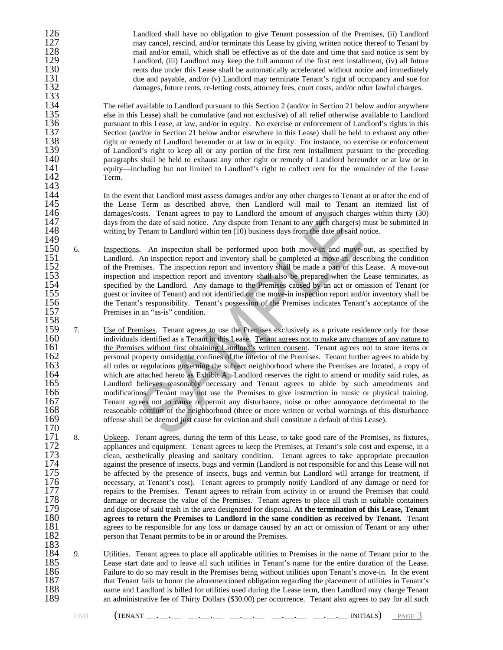126 Landlord shall have no obligation to give Tenant possession of the Premises, (ii) Landlord<br>127 may cancel, rescind, and/or terminate this Lease by giving written notice thereof to Tenant by may cancel, rescind, and/or terminate this Lease by giving written notice thereof to Tenant by<br>128 mail and/or email, which shall be effective as of the date and time that said notice is sent by 128 mail and/or email, which shall be effective as of the date and time that said notice is sent by<br>129 Landlord. (iii) Landlord may keep the full amount of the first rent installment. (iv) all future 129 Landlord, (iii) Landlord may keep the full amount of the first rent installment, (iv) all future<br>130 the rents due under this Lease shall be automatically accelerated without notice and immediately 130 rents due under this Lease shall be automatically accelerated without notice and immediately<br>131 due and payable, and/or (y) Landlord may terminate Tenant's right of occupancy and sue for 131 due and payable, and/or (v) Landlord may terminate Tenant's right of occupancy and sue for<br>132 damages, future rents, re-letting costs, attorney fees, court costs, and/or other lawful charges. damages, future rents, re-letting costs, attorney fees, court costs, and/or other lawful charges.

134 The relief available to Landlord pursuant to this Section 2 (and/or in Section 21 below and/or anywhere else in this Lease) shall be cumulative (and not exclusive) of all relief otherwise available to Landlord 135 else in this Lease) shall be cumulative (and not exclusive) of all relief otherwise available to Landlord<br>136 pursuant to this Lease, at law, and/or in equity. No exercise or enforcement of Landlord's rights in this 136 pursuant to this Lease, at law, and/or in equity. No exercise or enforcement of Landlord's rights in this 137 Section (and/or in Section 21 below and/or elsewhere in this Lease) shall be held to exhaust any other 137 Section (and/or in Section 21 below and/or elsewhere in this Lease) shall be held to exhaust any other<br>138 right or remedy of Landlord hereunder or at law or in equity. For instance, no exercise or enforcement 138 right or remedy of Landlord hereunder or at law or in equity. For instance, no exercise or enforcement 139 of Landlord's right to keep all or any portion of the first rent installment pursuant to the preceding 139 of Landlord's right to keep all or any portion of the first rent installment pursuant to the preceding<br>140 paragraphs shall be held to exhaust any other right or remedy of Landlord hereunder or at law or in 140 paragraphs shall be held to exhaust any other right or remedy of Landlord hereunder or at law or in 141 141 equity—including but not limited to Landlord's right to collect rent for the remainder of the Lease 142 Term.

144 In the event that Landlord must assess damages and/or any other charges to Tenant at or after the end of the Lease Term as described above, then Landlord will mail to Tenant an itemized list of 145 the Lease Term as described above, then Landlord will mail to Tenant an itemized list of damages/costs. Tenant agrees to pay to Landlord the amount of any such charges within thirty (30) 146 damages/costs. Tenant agrees to pay to Landlord the amount of any such charges within thirty (30) days from the date of said notice. Any dispute from Tenant to any such charge(s) must be submitted in 147 days from the date of said notice. Any dispute from Tenant to any such charge(s) must be submitted in<br>148 writing by Tenant to Landlord within ten (10) business days from the date of said notice. writing by Tenant to Landlord within ten (10) business days from the date of said notice.

- 149<br>150 150 6. Inspections. An inspection shall be performed upon both move-in and move-out, as specified by Landlord. An inspection report and inventory shall be completed at move-in, describing the condition 151 Landlord. An inspection report and inventory shall be completed at move-in, describing the condition of the Premises. The inspection report and inventory shall be made a part of this Lease. A move-out 152 of the Premises. The inspection report and inventory shall be made a part of this Lease. A move-out 153 inspection and inspection report and inventory shall also be prepared when the Lease terminates, as 153 inspection and inspection report and inventory shall also be prepared when the Lease terminates, as<br>154 specified by the Landlord. Any damage to the Premises caused by an act or omission of Tenant (or 154 specified by the Landlord. Any damage to the Premises caused by an act or omission of Tenant (or guest or invitee of Tenant) and not identified on the move-in inspection report and/or inventory shall be 155 guest or invitee of Tenant) and not identified on the move-in inspection report and/or inventory shall be the Tenant's responsibility. Tenant's possession of the Premises indicates Tenant's acceptance of the 156 the Tenant's responsibility. Tenant's possession of the Premises indicates Tenant's acceptance of the 157 Premises in an "as-is" condition.
- osts. Tenant agrees to pay to Landlord the amount of any such charg<br>the date of said notice. Any dispute from Tenant to any such charge(s) i<br>Tenant to Landlord within ten (10) business days from the date of said no<br>S.<br>S.  $\frac{158}{159}$ 159 7. <u>Use of Premises</u>. Tenant agrees to use the Premises exclusively as a private residence only for those individuals identified as a Tenant in this Lease. Tenant agrees not to make any changes of any nature to 160 individuals identified as a Tenant in this Lease. Tenant agrees not to make any changes of any nature to 161<br>161 the Premises without first obtaining Landlord's written consent. Tenant agrees not to store items or 161 the Premises without first obtaining Landlord's written consent. Tenant agrees not to store items or personal property outside the confines of the interior of the Premises. Tenant further agrees to abide by 162 personal property outside the confines of the interior of the Premises. Tenant further agrees to abide by<br>163 all rules or regulations governing the subject neighborhood where the Premises are located, a copy of 163 all rules or regulations governing the subject neighborhood where the Premises are located, a copy of which are attached hereto as Exhibit A. Landlord reserves the right to amend or modify said rules, as 164 which are attached hereto as Exhibit A. Landlord reserves the right to amend or modify said rules, as<br>165 Landlord believes reasonably necessary and Tenant agrees to abide by such amendments and 165 Landlord believes reasonably necessary and Tenant agrees to abide by such amendments and modifications. Tenant may not use the Premises to give instruction in music or physical training. 166 modifications. Tenant may not use the Premises to give instruction in music or physical training.<br>167 Tenant agrees not to cause or permit any disturbance, noise or other annoyance detrimental to the<br>168 reasonable com Tenant agrees not to cause or permit any disturbance, noise or other annoyance detrimental to the 168 reasonable comfort of the neighborhood (three or more written or verbal warnings of this disturbance of the neighborhood (three or more written or verbal warnings of this disturbance of the neighborhood (three or evict offense shall be deemed just cause for eviction and shall constitute a default of this Lease).
- 170<br>171 171 8. Upkeep. Tenant agrees, during the term of this Lease, to take good care of the Premises, its fixtures, appliances and equipment. Tenant agrees to keep the Premises, at Tenant's sole cost and expense, in a clean, aes appliances and equipment. Tenant agrees to keep the Premises, at Tenant's sole cost and expense, in a 173 clean, aesthetically pleasing and sanitary condition. Tenant agrees to take appropriate precaution against the presence of insects, bugs and vermin (Landlord is not responsible for and this Lease will not be affected b against the presence of insects, bugs and vermin (Landlord is not responsible for and this Lease will not 175 be affected by the presence of insects, bugs and vermin but Landlord will arrange for treatment, if necessary, at Tenant's cost). Tenant agrees to promptly notify Landlord of any damage or need for 176 necessary, at Tenant's cost). Tenant agrees to promptly notify Landlord of any damage or need for<br>177 repairs to the Premises. Tenant agrees to refrain from activity in or around the Premises that could 177 repairs to the Premises. Tenant agrees to refrain from activity in or around the Premises that could<br>178 damage or decrease the value of the Premises. Tenant agrees to place all trash in suitable containers 178 damage or decrease the value of the Premises. Tenant agrees to place all trash in suitable containers<br>179 and dispose of said trash in the area designated for disposal. At the termination of this Lease, Tenant 179 and dispose of said trash in the area designated for disposal. At the termination of this Lease, Tenant **180** agrees to return the Premises to Landlord in the same condition as received by Tenant. Tenant 180 **agrees to return the Premises to Landlord in the same condition as received by Tenant.** Tenant 181 agrees to be responsible for any loss or damage caused by an act or omission of Tenant or any other 181 agrees to be responsible for any loss or damage caused by an act or omission of Tenant or any other 182 person that Tenant permits to be in or around the Premises.
- $\frac{183}{184}$ 184 9. Utilities. Tenant agrees to place all applicable utilities to Premises in the name of Tenant prior to the 185 Lease start date and to leave all such utilities in Tenant's name for the entire duration of the Lease. 185 Lease start date and to leave all such utilities in Tenant's name for the entire duration of the Lease.<br>186 Failure to do so may result in the Premises being without utilities upon Tenant's move-in. In the event 186 Failure to do so may result in the Premises being without utilities upon Tenant's move-in. In the event 187<br>187 that Tenant fails to honor the aforementioned obligation regarding the placement of utilities in Tenant's 187 that Tenant fails to honor the aforementioned obligation regarding the placement of utilities in Tenant's<br>188 name and Landlord is billed for utilities used during the Lease term, then Landlord may charge Tenant 188 hame and Landlord is billed for utilities used during the Lease term, then Landlord may charge Tenant 189<br>189 hame an administrative fee of Thirty Dollars (\$30.00) per occurrence. Tenant also agrees to pay for all such an administrative fee of Thirty Dollars (\$30.00) per occurrence. Tenant also agrees to pay for all such

133<br>134

143<br>144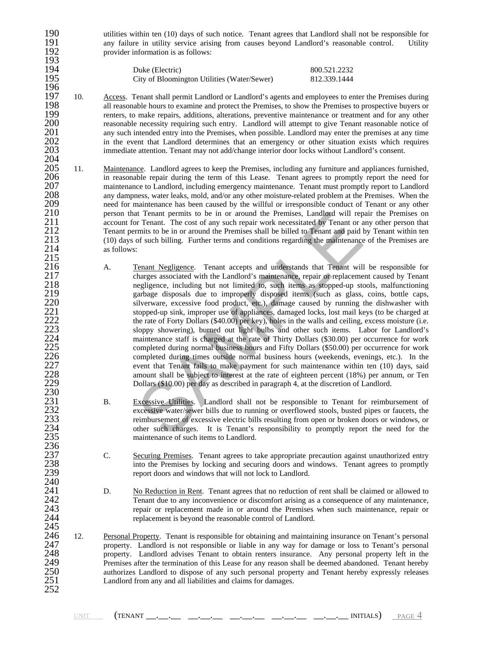190 utilities within ten (10) days of such notice. Tenant agrees that Landlord shall not be responsible for<br>191 any failure in utility service arising from causes beyond Landlord's reasonable control. Utility 191 any failure in utility service arising from causes beyond Landlord's reasonable control. Utility provider information is as follows: provider information is as follows:

| 194 | Duke (Electric)                             | 800.521.2232 |
|-----|---------------------------------------------|--------------|
| 195 | City of Bloomington Utilities (Water/Sewer) | 812.339.1444 |

- 196<br>197 197 10. Access. Tenant shall permit Landlord or Landlord's agents and employees to enter the Premises during all reasonable hours to examine and protect the Premises. to show the Premises to prospective buvers or 198 all reasonable hours to examine and protect the Premises, to show the Premises to prospective buyers or<br>199 renters, to make repairs, additions, alterations, preventive maintenance or treatment and for any other 199 renters, to make repairs, additions, alterations, preventive maintenance or treatment and for any other<br>200 reasonable necessity requiring such entry. Landlord will attempt to give Tenant reasonable notice of 200 reasonable necessity requiring such entry. Landlord will attempt to give Tenant reasonable notice of 201 any such intended entry into the Premises, when possible. Landlord may enter the premises at any time 201 any such intended entry into the Premises, when possible. Landlord may enter the premises at any time<br>202 in the event that Landlord determines that an emergency or other situation exists which requires 202 in the event that Landlord determines that an emergency or other situation exists which requires 203 immediate attention. Tenant may not add/change interior door locks without Landlord's consent. immediate attention. Tenant may not add/change interior door locks without Landlord's consent.
- 204 205 11. Maintenance. Landlord agrees to keep the Premises, including any furniture and appliances furnished, 206 in reasonable repair during the term of this Lease. Tenant agrees to promptly report the need for 206 in reasonable repair during the term of this Lease. Tenant agrees to promptly report the need for<br>207 maintenance to Landlord, including emergency maintenance. Tenant must promptly report to Landlord 207 maintenance to Landlord, including emergency maintenance. Tenant must promptly report to Landlord<br>208 any dampness, water leaks, mold, and/or any other moisture-related problem at the Premises. When the 208 any dampness, water leaks, mold, and/or any other moisture-related problem at the Premises. When the 209 eneed for maintenance has been caused by the willful or irresponsible conduct of Tenant or any other 209 need for maintenance has been caused by the willful or irresponsible conduct of Tenant or any other<br>210 person that Tenant permits to be in or around the Premises, Landlord will repair the Premises on 210 person that Tenant permits to be in or around the Premises, Landlord will repair the Premises on 211 account for Tenant. The cost of any such repair work necessitated by Tenant or any other person that 211 account for Tenant. The cost of any such repair work necessitated by Tenant or any other person that 212 Tenant permits to be in or around the Premises shall be billed to Tenant and paid by Tenant within ten 212 Tenant permits to be in or around the Premises shall be billed to Tenant and paid by Tenant within ten<br>213 (10) days of such billing. Further terms and conditions regarding the maintenance of the Premises are 213 (10) days of such billing. Further terms and conditions regarding the maintenance of the Premises are as follows: as follows:  $^{215}_{216}$
- It Tenant permits to be in or around the Premises, Landlord will rep<br>
Tr Tenant. The cost of any such repair work necessitated by Tenant or<br>
Fr Cenant Subiling. Further terms and conditions regarding the maintenance<br>
Frame 216 A. Tenant Negligence. Tenant accepts and understands that Tenant will be responsible for charges associated with the Landlord's maintenance, repair or replacement caused by Tenant 217 charges associated with the Landlord's maintenance, repair or replacement caused by Tenant 218 cause is negligence, including but not limited to, such items as stopped-up stools, malfunctioning 218 negligence, including but not limited to, such items as stopped-up stools, malfunctioning<br>219 negligence disposals due to improperly disposed items (such as glass, coins, bottle caps, 219 garbage disposals due to improperly disposed items (such as glass, coins, bottle caps, silverware, excessive food product, etc.), damage caused by running the dishwasher with 220 silverware, excessive food product, etc.), damage caused by running the dishwasher with<br>221 stopped-up sink, improper use of appliances, damaged locks, lost mail keys (to be charged at 221 stopped-up sink, improper use of appliances, damaged locks, lost mail keys (to be charged at<br>222 the rate of Forty Dollars (\$40.00) per key), holes in the walls and ceiling, excess moisture (i.e.<br>223 sloppy showering), the rate of Forty Dollars (\$40.00) per key), holes in the walls and ceiling, excess moisture (i.e. 223 sloppy showering), burned out light bulbs and other such items. Labor for Landlord's<br>224 maintenance staff is charged at the rate of Thirty Dollars (\$30.00) per occurrence for work<br>225 completed during normal business maintenance staff is charged at the rate of Thirty Dollars (\$30.00) per occurrence for work 225 completed during normal business hours and Fifty Dollars (\$50.00) per occurrence for work<br>226 completed during times outside normal business hours (weekends, evenings, etc.). In the 226 completed during times outside normal business hours (weekends, evenings, etc.). In the event that Tenant fails to make payment for such maintenance within ten (10) days, said event that Tenant fails to make payment for such maintenance within ten (10) days, said<br>228 mount shall be subject to interest at the rate of eighteen percent (18%) per annum, or Ten 228 amount shall be subject to interest at the rate of eighteen percent (18%) per annum, or Ten<br>229 Dollars (\$10.00) per day as described in paragraph 4, at the discretion of Landlord. Dollars (\$10.00) per day as described in paragraph 4, at the discretion of Landlord.
- B. Excessive Utilities. Landlord shall not be responsible to Tenant for reimbursement of 232 excessive water/sewer bills due to running or overflowed stools, busted pipes or faucets, the reimbursement of excessive electric bills resulting from open or broken doors or windows, or 233 reimbursement of excessive electric bills resulting from open or broken doors or windows, or<br>234 other such charges. It is Tenant's responsibility to promptly report the need for the 234 other such charges. It is Tenant's responsibility to promptly report the need for the maintenance of such items to Landlord. maintenance of such items to Landlord.
- 237 C. Securing Premises. Tenant agrees to take appropriate precaution against unauthorized entry<br>238 into the Premises by locking and securing doors and windows. Tenant agrees to promptly<br>239 report doors and windows that into the Premises by locking and securing doors and windows. Tenant agrees to promptly report doors and windows that will not lock to Landlord.
- 241 D. No Reduction in Rent. Tenant agrees that no reduction of rent shall be claimed or allowed to 242 Tenant due to any inconvenience or discomfort arising as a consequence of any maintenance, 242 Tenant due to any inconvenience or discomfort arising as a consequence of any maintenance, repair or replacement made in or around the Premises when such maintenance, repair or 243 repair or replacement made in or around the Premises when such maintenance, repair or  $244$  replacement is beyond the reasonable control of Landlord. replacement is beyond the reasonable control of Landlord.
- 245<br>246 246 12. Personal Property. Tenant is responsible for obtaining and maintaining insurance on Tenant's personal property. Landlord is not responsible or liable in any way for damage or loss to Tenant's personal 247 property. Landlord is not responsible or liable in any way for damage or loss to Tenant's personal property. Landlord advises Tenant to obtain renters insurance. Any personal property left in the 248 property. Landlord advises Tenant to obtain renters insurance. Any personal property left in the 249 Premises after the termination of this Lease for any reason shall be deemed abandoned. Tenant hereby 249 Premises after the termination of this Lease for any reason shall be deemed abandoned. Tenant hereby authorizes Landlord to dispose of any such personal property and Tenant hereby expressly releases 250 authorizes Landlord to dispose of any such personal property and Tenant hereby expressly releases Landlord from any and all liabilities and claims for damages. 252

193<br>194

230<br>231<br>232

236<br>237

 $\frac{240}{241}$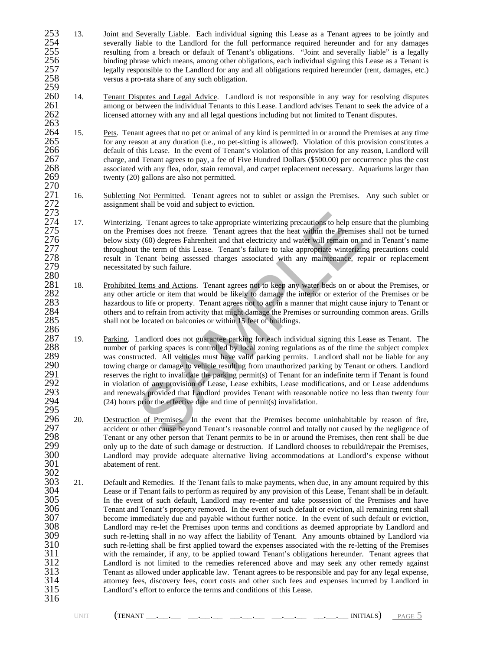- 253 13. Joint and Severally Liable. Each individual signing this Lease as a Tenant agrees to be jointly and severally liable to the Landlord for the full performance required hereunder and for any damages 254 severally liable to the Landlord for the full performance required hereunder and for any damages 255 resulting from a breach or default of Tenant's obligations. "Joint and severally liable" is a legally<br>256 binding phrase which means, among other obligations, each individual signing this Lease as a Tenant is 256 binding phrase which means, among other obligations, each individual signing this Lease as a Tenant is<br>257 legally responsible to the Landlord for any and all obligations required hereunder (rent, damages, etc.)<br>258 cr 257 legally responsible to the Landlord for any and all obligations required hereunder (rent, damages, etc.) versus a pro-rata share of any such obligation.
- 259<br>260 260 14. Tenant Disputes and Legal Advice. Landlord is not responsible in any way for resolving disputes among or between the individual Tenants to this Lease. Landlord advises Tenant to seek the advice of a 261 among or between the individual Tenants to this Lease. Landlord advises Tenant to seek the advice of a<br>262 licensed attorney with any and all legal questions including but not limited to Tenant disputes. 262 licensed attorney with any and all legal questions including but not limited to Tenant disputes.
- 263<br>264 264 15. Pets. Tenant agrees that no pet or animal of any kind is permitted in or around the Premises at any time for any reason at any duration (i.e., no pet-sitting is allowed). Violation of this provision constitutes a 266 default of this Lease. In the event of Tenant's violation of this provision for any reason, Landlord will<br>267 charge, and Tenant agrees to pay, a fee of Five Hundred Dollars (\$500.00) per occurrence plus the cost 267 charge, and Tenant agrees to pay, a fee of Five Hundred Dollars (\$500.00) per occurrence plus the cost<br>268 ssociated with any flea, odor, stain removal, and carpet replacement necessary. Aquariums larger than 268 associated with any flea, odor, stain removal, and carpet replacement necessary. Aquariums larger than 269 twenty (20) gallons are also not permitted.
- 270<br>271<br>272 271 16. Subletting Not Permitted. Tenant agrees not to sublet or assign the Premises. Any such sublet or assignment shall be void and subject to eviction.
- 273<br>274<br>275 17. Winterizing. Tenant agrees to take appropriate winterizing precautions to help ensure that the plumbing 275 on the Premises does not freeze. Tenant agrees that the heat within the Premises shall not be turned 276 below sixty (60) degrees Fahrenheit and that electricity and water will remain on and in Tenant's name 276 below sixty (60) degrees Fahrenheit and that electricity and water will remain on and in Tenant's name<br>277 throughout the term of this Lease. Tenant's failure to take appropriate winterizing precautions could 277 throughout the term of this Lease. Tenant's failure to take appropriate winterizing precautions could result in Tenant being assessed charges associated with any maintenance, repair or replacement necessitated by such result in Tenant being assessed charges associated with any maintenance, repair or replacement necessitated by such failure.
- 280 281 18. Prohibited Items and Actions. Tenant agrees not to keep any water beds on or about the Premises, or any other article or item that would be likely to damage the interior or exterior of the Premises or be 282 any other article or item that would be likely to damage the interior or exterior of the Premises or be<br>283 hazardous to life or property. Tenant agrees not to act in a manner that might cause injury to Tenant or 283 hazardous to life or property. Tenant agrees not to act in a manner that might cause injury to Tenant or<br>284 others and to refrain from activity that might damage the Premises or surrounding common areas. Grills 284 others and to refrain from activity that might damage the Premises or surrounding common areas. Grills shall not be located on balconies or within 15 feet of buildings. shall not be located on balconies or within 15 feet of buildings.
- Ig. Tenant agrees to take appropriate winterizing precautions to help ensumises does not freeze. Tenant agrees that the heat within the Premises y (60) degrees Fahrenheit and that electricity and water will remain on a the 286<br>287 287 19. Parking. Landlord does not guarantee parking for each individual signing this Lease as Tenant. The number of parking spaces is controlled by local zoning regulations as of the time the subject complex 288 number of parking spaces is controlled by local zoning regulations as of the time the subject complex<br>289 was constructed. All vehicles must have valid parking permits. Landlord shall not be liable for any 289 was constructed. All vehicles must have valid parking permits. Landlord shall not be liable for any 290 towing charge or damage to vehicle resulting from unauthorized parking by Tenant or others. Landlord 290 towing charge or damage to vehicle resulting from unauthorized parking by Tenant or others. Landlord<br>291 serves the right to invalidate the parking permit(s) of Tenant for an indefinite term if Tenant is found 291 reserves the right to invalidate the parking permit(s) of Tenant for an indefinite term if Tenant is found<br>292 in violation of any provision of Lease, Lease exhibits, Lease modifications, and or Lease addendums 292 in violation of any provision of Lease, Lease exhibits, Lease modifications, and or Lease addendums<br>293 and renewals provided that Landlord provides Tenant with reasonable notice no less than twenty four and renewals provided that Landlord provides Tenant with reasonable notice no less than twenty four  $(24)$  hours prior the effective date and time of permit(s) invalidation. 294<br>295<br>296
- 296 20. Destruction of Premises. In the event that the Premises become uninhabitable by reason of fire,<br>297 eaccident or other cause beyond Tenant's reasonable control and totally not caused by the negligence of 297 accident or other cause beyond Tenant's reasonable control and totally not caused by the negligence of 298 Tenant or any other person that Tenant permits to be in or around the Premises, then rent shall be due 298 Tenant or any other person that Tenant permits to be in or around the Premises, then rent shall be due<br>299 only up to the date of such damage or destruction. If Landlord chooses to rebuild/repair the Premises, 299 only up to the date of such damage or destruction. If Landlord chooses to rebuild/repair the Premises,<br>300 Landlord may provide adequate alternative living accommodations at Landlord's expense without 300 Landlord may provide adequate alternative living accommodations at Landlord's expense without abatement of rent.
- 302<br>303 303 21. Default and Remedies. If the Tenant fails to make payments, when due, in any amount required by this 304 Lease or if Tenant fails to perform as required by any provision of this Lease. Tenant shall be in default. 304 Lease or if Tenant fails to perform as required by any provision of this Lease, Tenant shall be in default. 305 In the event of such default, Landlord may re-enter and take possession of the Premises and have<br>306 Tenant and Tenant's property removed. In the event of such default or eviction, all remaining rent shall 306 Tenant and Tenant's property removed. In the event of such default or eviction, all remaining rent shall<br>307 become immediately due and payable without further notice. In the event of such default or eviction. 307 become immediately due and payable without further notice. In the event of such default or eviction,<br>308 Landlord may re-let the Premises upon terms and conditions as deemed appropriate by Landlord and 308 Landlord may re-let the Premises upon terms and conditions as deemed appropriate by Landlord and 309 such re-letting shall in no way affect the liability of Tenant. Any amounts obtained by Landlord via 310 such re-letting shall be first applied toward the expenses associated with the re-letting of the Premises<br>311 with the remainder, if any, to be applied toward Tenant's obligations hereunder. Tenant agrees that 311 with the remainder, if any, to be applied toward Tenant's obligations hereunder. Tenant agrees that 312 Landlord is not limited to the remedies referenced above and may seek any other remedy against 312 Landlord is not limited to the remedies referenced above and may seek any other remedy against<br>313 Tenant as allowed under applicable law. Tenant agrees to be responsible and pay for any legal expense,<br>314 attorney fee Tenant as allowed under applicable law. Tenant agrees to be responsible and pay for any legal expense, 314 attorney fees, discovery fees, court costs and other such fees and expenses incurred by Landlord in Landlord's effort to enforce the terms and conditions of this Lease. Landlord's effort to enforce the terms and conditions of this Lease. 316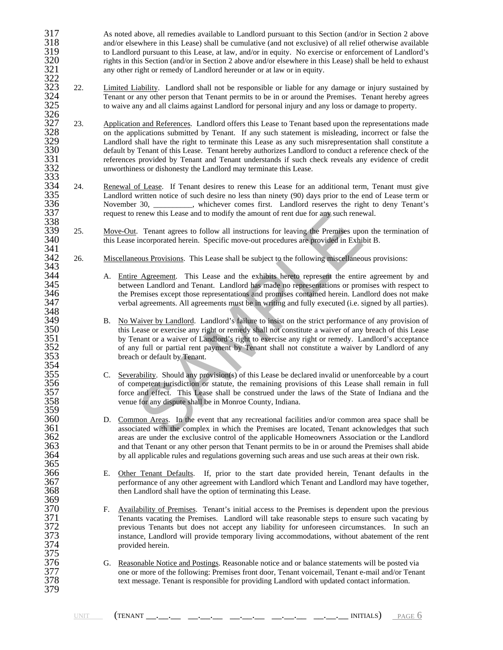- 317 As noted above, all remedies available to Landlord pursuant to this Section (and/or in Section 2 above and/or elsewhere in this Lease) shall be cumulative (and not exclusive) of all relief otherwise available 318 and/or elsewhere in this Lease) shall be cumulative (and not exclusive) of all relief otherwise available<br>319 to Landlord pursuant to this Lease, at law, and/or in equity. No exercise or enforcement of Landlord's 319 to Landlord pursuant to this Lease, at law, and/or in equity. No exercise or enforcement of Landlord's<br>320 rights in this Section (and/or in Section 2 above and/or elsewhere in this Lease) shall be held to exhaust rights in this Section (and/or in Section 2 above and/or elsewhere in this Lease) shall be held to exhaust any other right or remedy of Landlord hereunder or at law or in equity.
- 321<br>322<br>323 22. <u>Limited Liability</u>. Landlord shall not be responsible or liable for any damage or injury sustained by<br>324 Tenant or any other person that Tenant permits to be in or around the Premises. Tenant hereby agrees<br>325 to wai 324 Tenant or any other person that Tenant permits to be in or around the Premises. Tenant hereby agrees 325 to waive any and all claims against Landlord for personal injury and any loss or damage to property.
- 326<br>327 327 23. Application and References. Landlord offers this Lease to Tenant based upon the representations made<br>328 on the applications submitted by Tenant. If any such statement is misleading, incorrect or false the<br>329 Land 328 on the applications submitted by Tenant. If any such statement is misleading, incorrect or false the 329 Landlord shall have the right to terminate this Lease as any such misrepresentation shall constitute a<br>330 default by Tenant of this Lease. Tenant hereby authorizes Landlord to conduct a reference check of the 330 default by Tenant of this Lease. Tenant hereby authorizes Landlord to conduct a reference check of the references provided by Tenant and Tenant understands if such check reveals any evidence of credit unworthiness or d references provided by Tenant and Tenant understands if such check reveals any evidence of credit unworthiness or dishonesty the Landlord may terminate this Lease.
- $333$ <br> $333$ <br> $335$ <br> $336$ 334 24. Renewal of Lease. If Tenant desires to renew this Lease for an additional term, Tenant must give Landlord written notice of such desire no less than ninety (90) days prior to the end of Lease term or 336 November 30, November 20, whichever comes first. Landlord reserves the right to deny Tenant's request to renew this Lease and to modify the amount of rent due for any such renewal. request to renew this Lease and to modify the amount of rent due for any such renewal.
- 338<br>339 339 25. Move-Out. Tenant agrees to follow all instructions for leaving the Premises upon the termination of this Lease incorporated herein. Specific move-out procedures are provided in Exhibit B. this Lease incorporated herein. Specific move-out procedures are provided in Exhibit B. 341
- 342 26. Miscellaneous Provisions. This Lease shall be subject to the following miscellaneous provisions: 342<br>343<br>344
- 344 A. Entire Agreement. This Lease and the exhibits hereto represent the entire agreement by and between Landlord and Tenant. Landlord has made no representations or promises with respect to 345 between Landlord and Tenant. Landlord has made no representations or promises with respect to the Premises except those representations and promises contained herein. Landlord does not make 346 the Premises except those representations and promises contained herein. Landlord does not make<br>347 executed (i.e. signed by all parties). verbal agreements. All agreements must be in writing and fully executed (i.e. signed by all parties).
- renew this Lease and to modify the amount of rent due for any such renew<br>
Tenant agrees to follow all instructions for leaving the Premises upo<br>
incorporated herein. Specific move-out procedures are provided in Exhibitatio 349 B. No Waiver by Landlord. Landlord's failure to insist on the strict performance of any provision of this Lease or exercise any right or remedy shall not constitute a waiver of any breach of this Lease 350 this Lease or exercise any right or remedy shall not constitute a waiver of any breach of this Lease<br>351 by Tenant or a waiver of Landlord's right to exercise any right or remedy. Landlord's acceptance 351 by Tenant or a waiver of Landlord's right to exercise any right or remedy. Landlord's acceptance<br>352 of any full or partial rent payment by Tenant shall not constitute a waiver by Landlord of any 352 of any full or partial rent payment by Tenant shall not constitute a waiver by Landlord of any breach or default by Tenant. breach or default by Tenant.
- 355 C. Sue extern Should any provision(s) of this Lease be declared invalid or unenforceable by a court of competent jurisdiction or statute, the remaining provisions of this Lease shall remain in full 356 of competent jurisdiction or statute, the remaining provisions of this Lease shall remain in full 357 force and effect. This Lease shall be construed under the laws of the State of Indiana and the venue for any dispute shall be in Monroe County, Indiana.
- 360 D. Common Areas. In the event that any recreational facilities and/or common area space shall be associated with the complex in which the Premises are located, Tenant acknowledges that such 361 associated with the complex in which the Premises are located, Tenant acknowledges that such areas are under the exclusive control of the applicable Homeowners Association or the Landlord 362 areas are under the exclusive control of the applicable Homeowners Association or the Landlord<br>363 and that Tenant or any other person that Tenant permits to be in or around the Premises shall abide<br>364 by all applicab and that Tenant or any other person that Tenant permits to be in or around the Premises shall abide by all applicable rules and regulations governing such areas and use such areas at their own risk.
- 366 E. Other Tenant Defaults. If, prior to the start date provided herein, Tenant defaults in the performance of any other agreement with Landlord which Tenant and Landlord may have together, 367 performance of any other agreement with Landlord which Tenant and Landlord may have together,<br>368 then Landlord shall have the option of terminating this Lease. then Landlord shall have the option of terminating this Lease.
- 370 F. Availability of Premises. Tenant's initial access to the Premises is dependent upon the previous Tenants vacating the Premises. Landlord will take reasonable steps to ensure such vacating by 371 Tenants vacating the Premises. Landlord will take reasonable steps to ensure such vacating by<br>372 previous Tenants but does not accept any liability for unforeseen circumstances. In such an 372 previous Tenants but does not accept any liability for unforeseen circumstances. In such an instance, Landlord will provide temporary living accommodations, without abatement of the rent 373 instance, Landlord will provide temporary living accommodations, without abatement of the rent provided herein.
- 376 G. Reasonable Notice and Postings. Reasonable notice and or balance statements will be posted via<br>377 one or more of the following: Premises front door, Tenant voicemail, Tenant e-mail and/or Tenan 377 one or more of the following: Premises front door, Tenant voicemail, Tenant e-mail and/or Tenant text message. Tenant is responsible for providing Landlord with updated contact information. text message. Tenant is responsible for providing Landlord with updated contact information.

348<br>349

354<br>355

359<br>360

365<br>366

369<br>370

375<br>376

379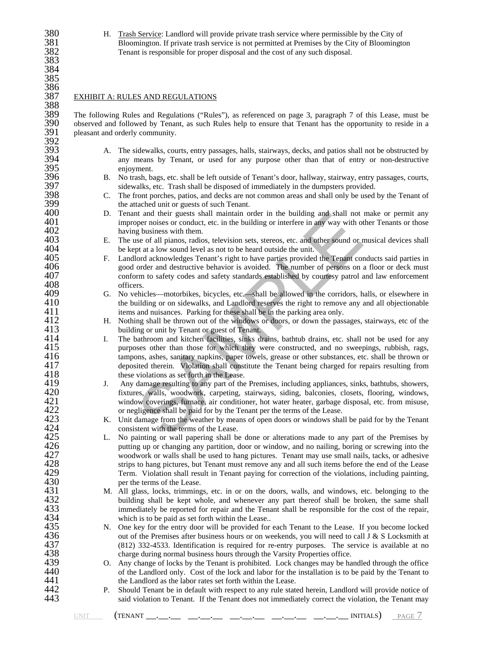380 H. Trash Service: Landlord will provide private trash service where permissible by the City of Bloomington. If private trash service is not permitted at Premises by the City of Bloomingto 381 Bloomington. If private trash service is not permitted at Premises by the City of Bloomington<br>382 Tenant is responsible for proper disposal and the cost of any such disposal. Tenant is responsible for proper disposal and the cost of any such disposal.

#### EXHIBIT A: RULES AND REGULATIONS

388<br>389 389 The following Rules and Regulations ("Rules"), as referenced on page 3, paragraph 7 of this Lease, must be 390 observed and followed by Tenant, as such Rules help to ensure that Tenant has the opportunity to reside in a pleasant and orderly community. pleasant and orderly community. 392<br>393

- 393 A. The sidewalks, courts, entry passages, halls, stairways, decks, and patios shall not be obstructed by<br>394 any means by Tenant, or used for any purpose other than that of entry or non-destructive 394 any means by Tenant, or used for any purpose other than that of entry or non-destructive 395 enjoyment.<br>396 B. Notrash, ba
- 396 B. No trash, bags, etc. shall be left outside of Tenant's door, hallway, stairway, entry passages, courts, 397 sidewalks, etc. Trash shall be disposed of immediately in the dumpsters provided.<br>398 C. The front porches, patios, and decks are not common areas and shall only be used
- 398 C. The front porches, patios, and decks are not common areas and shall only be used by the Tenant of 399 the attached unit or guests of such Tenant.<br>400 D. Tenant and their guests shall maintain of
- 400 D. Tenant and their guests shall maintain order in the building and shall not make or permit any improper noises or conduct, etc. in the building or interfere in any way with other Tenants or those 401 improper noises or conduct, etc. in the building or interfere in any way with other Tenants or those having business with them. 402 having business with them.<br>403 E. The use of all pianos, radio
- 403 E. The use of all pianos, radios, television sets, stereos, etc. and other sound or musical devices shall be kept at a low sound level as not to be heard outside the unit. 404 be kept at a low sound level as not to be heard outside the unit.<br>405 F. Landlord acknowledges Tenant's right to have parties provided
- 405 F. Landlord acknowledges Tenant's right to have parties provided the Tenant conducts said parties in 406 spood order and destructive behavior is avoided. The number of persons on a floor or deck must 406 good order and destructive behavior is avoided. The number of persons on a floor or deck must<br>407 conform to safety codes and safety standards established by courtesy patrol and law enforcement 407 conform to safety codes and safety standards established by courtesy patrol and law enforcement 408 officers.<br>409 G. No vehic
- 409 G. No vehicles—motorbikes, bicycles, etc.—shall be allowed in the corridors, halls, or elsewhere in the building or on sidewalks, and Landlord reserves the right to remove any and all objectionable 410 the building or on sidewalks, and Landlord reserves the right to remove any and all objectionable items and nuisances. Parking for these shall be in the parking area only. 411 items and nuisances. Parking for these shall be in the parking area only.<br>412 H. Nothing shall be thrown out of the windows or doors, or down the pass
- 412 H. Nothing shall be thrown out of the windows or doors, or down the passages, stairways, etc of the building or unit by Tenant or guest of Tenant. 413 building or unit by Tenant or guest of Tenant.<br>414 I. The bathroom and kitchen facilities, sinks dr
- It and their guests shall maintain order in the building and shall not<br>per noises or conduct, etc. in the building or interfere in any way with of<br>g business with them.<br>g of all pianos, radios, television sets, stereos, et 414 I. The bathroom and kitchen facilities, sinks drains, bathtub drains, etc. shall not be used for any purposes other than those for which they were constructed, and no sweepings, rubbish, rags, 415 purposes other than those for which they were constructed, and no sweepings, rubbish, rags, tampons, ashes, sanitary napkins, paper towels, grease or other substances, etc. shall be thrown or 416 tampons, ashes, sanitary napkins, paper towels, grease or other substances, etc. shall be thrown or<br>417 eleposited therein. Violation shall constitute the Tenant being charged for repairs resulting from 417 deposited therein. Violation shall constitute the Tenant being charged for repairs resulting from<br>418 these violations as set forth in the Lease. 418 these violations as set forth in the Lease.<br>419 J. Any damage resulting to any part of the
- 419 J. Any damage resulting to any part of the Premises, including appliances, sinks, bathtubs, showers, 420 fixtures, walls, woodwork, carpeting, stairways, siding, balconies, closets, flooring, windows, 420 fixtures, walls, woodwork, carpeting, stairways, siding, balconies, closets, flooring, windows, window coverings, furnace, air conditioner, hot water heater, garbage disposal, etc. from misuse, 421 window coverings, furnace, air conditioner, hot water heater, garbage disposal, etc. from misuse, or negligence shall be paid for by the Tenant per the terms of the Lease. 422 or negligence shall be paid for by the Tenant per the terms of the Lease.<br>423 K. Unit damage from the weather by means of open doors or windows shall
- 423 K. Unit damage from the weather by means of open doors or windows shall be paid for by the Tenant consistent with the terms of the Lease. 424 consistent with the terms of the Lease.<br>425 L. No painting or wall papering shall be
- 425 L. No painting or wall papering shall be done or alterations made to any part of the Premises by putting up or changing any partition, door or window, and no nailing, boring or screwing into the 426 putting up or changing any partition, door or window, and no nailing, boring or screwing into the woodwork or walls shall be used to hang pictures. Tenant may use small nails, tacks, or adhesive 427 woodwork or walls shall be used to hang pictures. Tenant may use small nails, tacks, or adhesive<br>428 strips to hang pictures, but Tenant must remove any and all such items before the end of the Lease<br>429 Term. Violatio strips to hang pictures, but Tenant must remove any and all such items before the end of the Lease 429 Term. Violation shall result in Tenant paying for correction of the violations, including painting, 430 per the terms of the Lease.<br>431 M. All glass, locks, trimming
- 431 M. All glass, locks, trimmings, etc. in or on the doors, walls, and windows, etc. belonging to the building shall be kept whole, and whenever any part thereof shall be broken, the same shall 432 building shall be kept whole, and whenever any part thereof shall be broken, the same shall immediately be reported for repair and the Tenant shall be responsible for the cost of the repair, 433 immediately be reported for repair and the Tenant shall be responsible for the cost of the repair,<br>434 which is to be paid as set forth within the Lease.. 434 which is to be paid as set forth within the Lease..<br>435 N. One key for the entry door will be provided for
- 435 N. One key for the entry door will be provided for each Tenant to the Lease. If you become locked out of the Premises after business hours or on weekends, you will need to call J & S Locksmith at 436 out of the Premises after business hours or on weekends, you will need to call J & S Locksmith at (812) 332-4533. Identification is required for re-entry purposes. The service is available at no 437 (812) 332-4533. Identification is required for re-entry purposes. The service is available at no<br>438 charge during normal business hours through the Varsity Properties office. 438 charge during normal business hours through the Varsity Properties office.<br>439 C. Any change of locks by the Tenant is prohibited. Lock changes may be ha
- 439 O. Any change of locks by the Tenant is prohibited. Lock changes may be handled through the office of the Landlord only. Cost of the lock and labor for the installation is to be paid by the Tenant to 440 of the Landlord only. Cost of the lock and labor for the installation is to be paid by the Tenant to the Landlord as the labor rates set forth within the Lease. 441 the Landlord as the labor rates set forth within the Lease.<br>442 P. Should Tenant be in default with respect to any rule state
- 442 P. Should Tenant be in default with respect to any rule stated herein, Landlord will provide notice of said violation to Tenant. If the Tenant does not immediately correct the violation, the Tenant may said violation to Tenant. If the Tenant does not immediately correct the violation, the Tenant may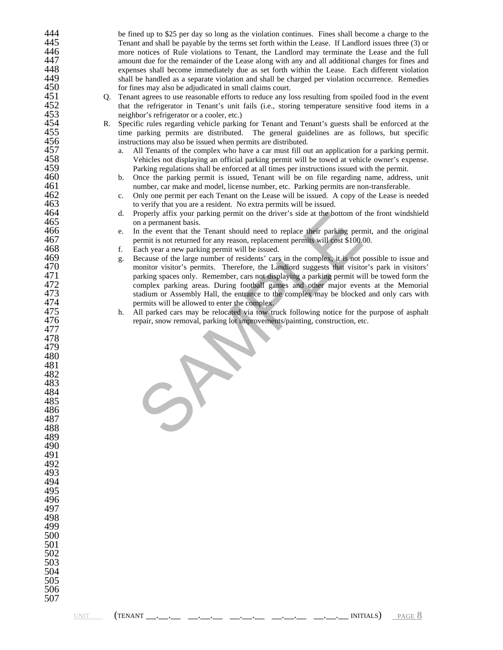| 444 |    | be fined up to \$25 per day so long as the violation continues. Fines shall become a charge to the   |
|-----|----|------------------------------------------------------------------------------------------------------|
| 445 |    |                                                                                                      |
|     |    | Tenant and shall be payable by the terms set forth within the Lease. If Landlord issues three (3) or |
| 446 |    | more notices of Rule violations to Tenant, the Landlord may terminate the Lease and the full         |
| 447 |    | amount due for the remainder of the Lease along with any and all additional charges for fines and    |
| 448 |    | expenses shall become immediately due as set forth within the Lease. Each different violation        |
| 449 |    | shall be handled as a separate violation and shall be charged per violation occurrence. Remedies     |
| 450 |    | for fines may also be adjudicated in small claims court.                                             |
| 451 | Q. | Tenant agrees to use reasonable efforts to reduce any loss resulting from spoiled food in the event  |
| 452 |    | that the refrigerator in Tenant's unit fails (i.e., storing temperature sensitive food items in a    |
| 453 |    |                                                                                                      |
|     |    | neighbor's refrigerator or a cooler, etc.)                                                           |
| 454 | R. | Specific rules regarding vehicle parking for Tenant and Tenant's guests shall be enforced at the     |
| 455 |    | time parking permits are distributed. The general guidelines are as follows, but specific            |
| 456 |    | instructions may also be issued when permits are distributed.                                        |
| 457 |    | All Tenants of the complex who have a car must fill out an application for a parking permit.<br>a.   |
| 458 |    | Vehicles not displaying an official parking permit will be towed at vehicle owner's expense.         |
| 459 |    | Parking regulations shall be enforced at all times per instructions issued with the permit.          |
| 460 |    | Once the parking permit is issued, Tenant will be on file regarding name, address, unit<br>b.        |
| 461 |    | number, car make and model, license number, etc. Parking permits are non-transferable.               |
| 462 |    | Only one permit per each Tenant on the Lease will be issued. A copy of the Lease is needed<br>c.     |
| 463 |    | to verify that you are a resident. No extra permits will be issued.                                  |
|     |    |                                                                                                      |
| 464 |    | Properly affix your parking permit on the driver's side at the bottom of the front windshield<br>d.  |
| 465 |    | on a permanent basis.                                                                                |
| 466 |    | In the event that the Tenant should need to replace their parking permit, and the original<br>e.     |
| 467 |    | permit is not returned for any reason, replacement permits will cost \$100.00.                       |
| 468 |    | Each year a new parking permit will be issued.<br>f.                                                 |
| 469 |    | Because of the large number of residents' cars in the complex, it is not possible to issue and<br>g. |
| 470 |    | monitor visitor's permits. Therefore, the Landlord suggests that visitor's park in visitors'         |
| 471 |    | parking spaces only. Remember, cars not displaying a parking permit will be towed form the           |
| 472 |    | complex parking areas. During football games and other major events at the Memorial                  |
| 473 |    |                                                                                                      |
|     |    | stadium or Assembly Hall, the entrance to the complex may be blocked and only cars with              |
| 474 |    | permits will be allowed to enter the complex.                                                        |
| 475 |    | All parked cars may be relocated via tow truck following notice for the purpose of asphalt<br>h.     |
| 476 |    | repair, snow removal, parking lot improvements/painting, construction, etc.                          |
| 477 |    |                                                                                                      |
| 478 |    |                                                                                                      |
| 479 |    |                                                                                                      |
| 480 |    | <b>SER</b>                                                                                           |
| 481 |    |                                                                                                      |
| 482 |    |                                                                                                      |
| 483 |    |                                                                                                      |
|     |    |                                                                                                      |
| 484 |    |                                                                                                      |
| 485 |    |                                                                                                      |
| 486 |    |                                                                                                      |
| 487 |    |                                                                                                      |
| 488 |    |                                                                                                      |
| 489 |    |                                                                                                      |
| 490 |    |                                                                                                      |
| 491 |    |                                                                                                      |
| 492 |    |                                                                                                      |
| 493 |    |                                                                                                      |
|     |    |                                                                                                      |
| 494 |    |                                                                                                      |
| 495 |    |                                                                                                      |
| 496 |    |                                                                                                      |
| 497 |    |                                                                                                      |
| 498 |    |                                                                                                      |
| 499 |    |                                                                                                      |
| 500 |    |                                                                                                      |
| 501 |    |                                                                                                      |
| 502 |    |                                                                                                      |
| 503 |    |                                                                                                      |
| 504 |    |                                                                                                      |
|     |    |                                                                                                      |
| 505 |    |                                                                                                      |
| 506 |    |                                                                                                      |
| 507 |    |                                                                                                      |

 $\underline{\text{UNIT}}$  (TENANT  $\underline{\hspace{1cm}}$   $\cdots$   $\underline{\hspace{1cm}}$   $\cdots$   $\underline{\hspace{1cm}}$   $\cdots$   $\underline{\hspace{1cm}}$   $\cdots$   $\underline{\hspace{1cm}}$   $\cdots$   $\underline{\hspace{1cm}}$   $\cdots$   $\underline{\hspace{1cm}}$   $\cdots$   $\underline{\hspace{1cm}}$   $\cdots$   $\underline{\hspace{1cm}}$   $\cdots$   $\underline{\hspace{1cm}}$   $\underline{\hspace{1cm}}$   $\underline{\$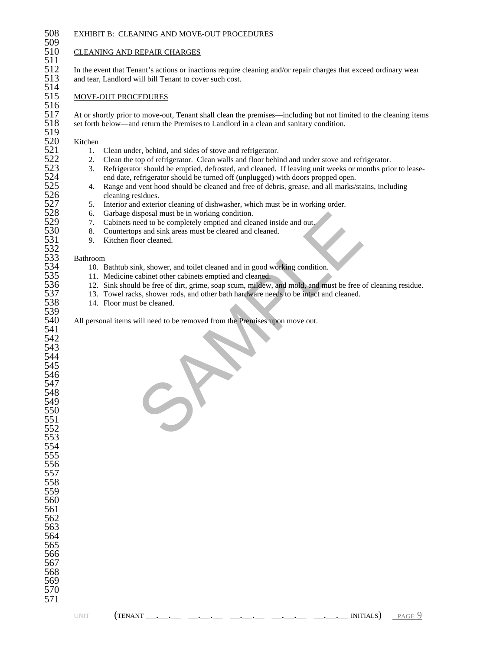509<br>510

511<br>512<br>513

514<br>515

516<br>517

 $\frac{519}{520}$ 

# 508 EXHIBIT B: CLEANING AND MOVE-OUT PROCEDURES

## **CLEANING AND REPAIR CHARGES**

In the event that Tenant's actions or inactions require cleaning and/or repair charges that exceed ordinary wear and tear, Landlord will bill Tenant to cover such cost.

### MOVE-OUT PROCEDURES

517 At or shortly prior to move-out, Tenant shall clean the premises—including but not limited to the cleaning items set forth below—and return the Premises to Landlord in a clean and sanitary condition. set forth below—and return the Premises to Landlord in a clean and sanitary condition.

520 Kitchen<br>521 1.

- 
- 2. Clean the top of refrigerator. Clean walls and floor behind and under stove and refrigerator.<br>3. Refrigerator should be emptied, defrosted, and cleaned. If leaving unit weeks or months prior
- 521 1. Clean under, behind, and sides of stove and refrigerator.<br>522 2. Clean the top of refrigerator. Clean walls and floor behin<br>523 3. Refrigerator should be emptied, defrosted, and cleaned. 523 3. Refrigerator should be emptied, defrosted, and cleaned. If leaving unit weeks or months prior to lease-<br>524 and date, refrigerator should be turned off (unplugged) with doors propped open. 524 end date, refrigerator should be turned off (unplugged) with doors propped open.<br>525 4. Range and vent hood should be cleaned and free of debris, grease, and all marks/s
- 525 4. Range and vent hood should be cleaned and free of debris, grease, and all marks/stains, including cleaning residues.<br>527 5. Interior and exterior cleaning of dishwasher, which must be in working order. cleaning residues.
- 527 5. Interior and exterior cleaning of dishwasher, which must be in working order.<br>528 6. Garbage disposal must be in working condition.
- 528 6. Garbage disposal must be in working condition.<br>529 7. Cabinets need to be completely emptied and clea
- 529 7. Cabinets need to be completely emptied and cleaned inside and out.<br>530 8. Countertops and sink areas must be cleared and cleaned.
- 530 8. Countertops and sink areas must be cleared and cleaned.<br>531 9. Kitchen floor cleaned.
	- 9. Kitchen floor cleaned.

#### **Bathroom**

- 534 10. Bathtub sink, shower, and toilet cleaned and in good working condition.<br>535 11. Medicine cabinet other cabinets emptied and cleaned.
- 535 11. Medicine cabinet other cabinets emptied and cleaned.<br>536 12. Sink should be free of dirt, grime, soap scum, mildew,
- isposal must be in working condition.<br>
the act to be completely emptied and cleaned inside and out.<br>
the some of the condition and the cleared and in good working condition.<br>
Ark, shower roots, and toilet cleaned and in go 536 12. Sink should be free of dirt, grime, soap scum, mildew, and mold, and must be free of cleaning residue.<br>537 13. Towel racks, shower rods, and other bath hardware needs to be intact and cleaned.
- 537 13. Towel racks, shower rods, and other bath hardware needs to be intact and cleaned.<br>538 14. Floor must be cleaned.
	- 14. Floor must be cleaned.

All personal items will need to be removed from the Premises upon move out.

| 543 |  |
|-----|--|
| 544 |  |
| 545 |  |
| 546 |  |

539<br>540

541 542

532<br>533<br>534

| וחד 1 |
|-------|